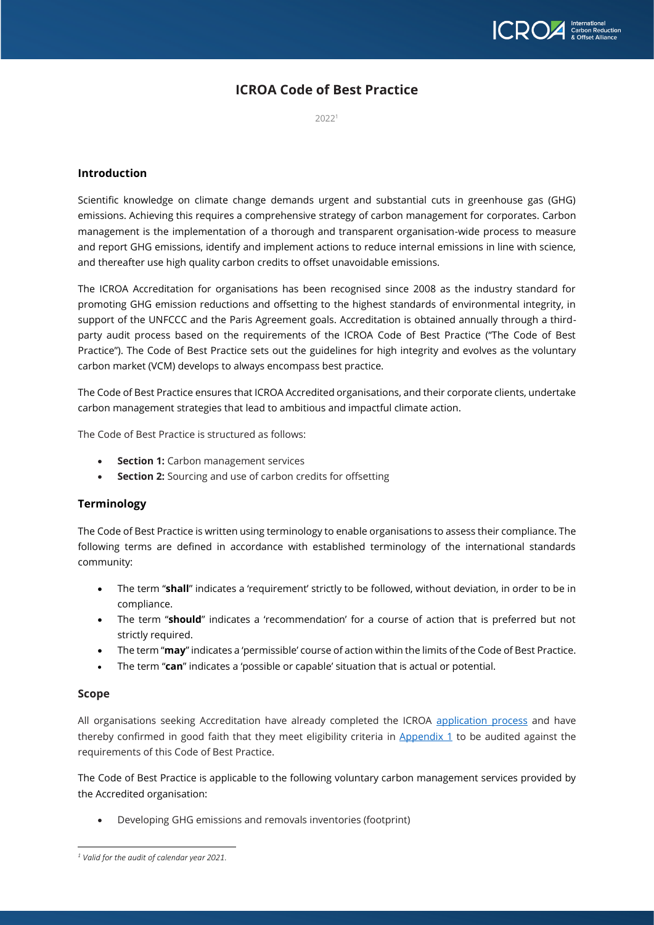

# **ICROA Code of Best Practice**

2022<sup>1</sup>

### **Introduction**

Scientific knowledge on climate change demands urgent and substantial cuts in greenhouse gas (GHG) emissions. Achieving this requires a comprehensive strategy of carbon management for corporates. Carbon management is the implementation of a thorough and transparent organisation-wide process to measure and report GHG emissions, identify and implement actions to reduce internal emissions in line with science, and thereafter use high quality carbon credits to offset unavoidable emissions.

The ICROA Accreditation for organisations has been recognised since 2008 as the industry standard for promoting GHG emission reductions and offsetting to the highest standards of environmental integrity, in support of the UNFCCC and the Paris Agreement goals. Accreditation is obtained annually through a thirdparty audit process based on the requirements of the ICROA Code of Best Practice ("The Code of Best Practice"). The Code of Best Practice sets out the guidelines for high integrity and evolves as the voluntary carbon market (VCM) develops to always encompass best practice.

The Code of Best Practice ensures that ICROA Accredited organisations, and their corporate clients, undertake carbon management strategies that lead to ambitious and impactful climate action.

The Code of Best Practice is structured as follows:

- **Section 1:** Carbon management services
- **Section 2:** Sourcing and use of carbon credits for offsetting

### **Terminology**

The Code of Best Practice is written using terminology to enable organisations to assess their compliance. The following terms are defined in accordance with established terminology of the international standards community:

- The term "**shall**" indicates a 'requirement' strictly to be followed, without deviation, in order to be in compliance.
- The term "**should**" indicates a 'recommendation' for a course of action that is preferred but not strictly required.
- The term "**may**" indicates a 'permissible' course of action within the limits of the Code of Best Practice.
- The term "**can**" indicates a 'possible or capable' situation that is actual or potential.

### **Scope**

All organisations seeking Accreditation have already completed the ICROA [application process](https://www.icroa.org/accreditation) and have thereby confirmed in good faith that they meet eligibility criteria in [Appendix 1](#page-6-0) to be audited against the requirements of this Code of Best Practice.

The Code of Best Practice is applicable to the following voluntary carbon management services provided by the Accredited organisation:

• Developing GHG emissions and removals inventories (footprint)

*<sup>1</sup> Valid for the audit of calendar year 2021.*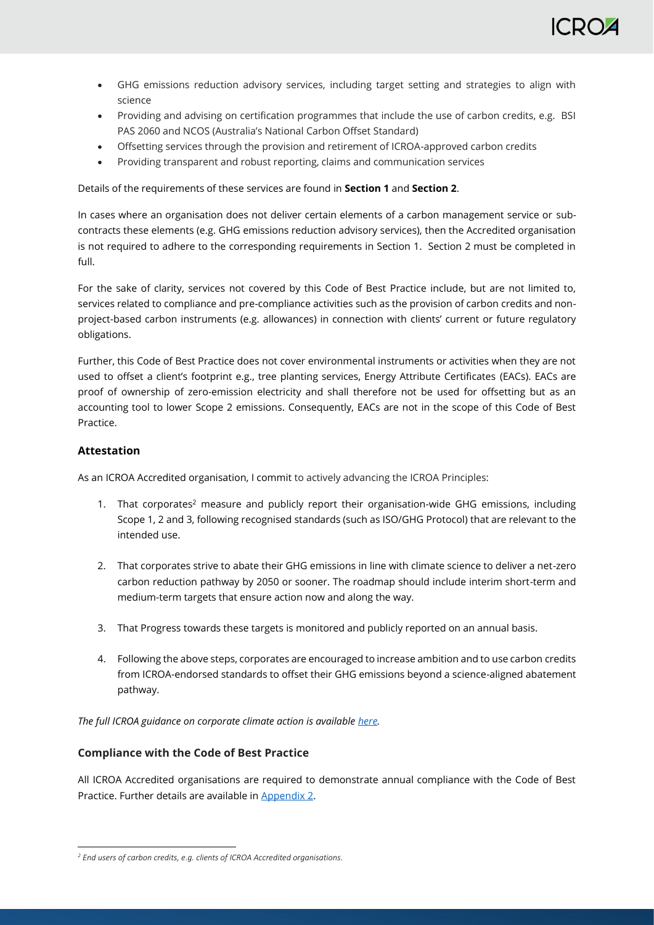- GHG emissions reduction advisory services, including target setting and strategies to align with science
- Providing and advising on certification programmes that include the use of carbon credits, e.g. BSI PAS 2060 and NCOS (Australia's National Carbon Offset Standard)
- Offsetting services through the provision and retirement of ICROA-approved carbon credits
- Providing transparent and robust reporting, claims and communication services

Details of the requirements of these services are found in **Section 1** and **Section 2**.

In cases where an organisation does not deliver certain elements of a carbon management service or subcontracts these elements (e.g. GHG emissions reduction advisory services), then the Accredited organisation is not required to adhere to the corresponding requirements in Section 1. Section 2 must be completed in full.

For the sake of clarity, services not covered by this Code of Best Practice include, but are not limited to, services related to compliance and pre-compliance activities such as the provision of carbon credits and nonproject-based carbon instruments (e.g. allowances) in connection with clients' current or future regulatory obligations.

Further, this Code of Best Practice does not cover environmental instruments or activities when they are not used to offset a client's footprint e.g., tree planting services, Energy Attribute Certificates (EACs). EACs are proof of ownership of zero-emission electricity and shall therefore not be used for offsetting but as an accounting tool to lower Scope 2 emissions. Consequently, EACs are not in the scope of this Code of Best Practice.

# **Attestation**

As an ICROA Accredited organisation, I commit to actively advancing the ICROA Principles:

- 1. That corporates<sup>2</sup> measure and publicly report their organisation-wide GHG emissions, including Scope 1, 2 and 3, following recognised standards (such as ISO/GHG Protocol) that are relevant to the intended use.
- 2. That corporates strive to abate their GHG emissions in line with climate science to deliver a net-zero carbon reduction pathway by 2050 or sooner. The roadmap should include interim short-term and medium-term targets that ensure action now and along the way.
- 3. That Progress towards these targets is monitored and publicly reported on an annual basis.
- 4. Following the above steps, corporates are encouraged to increase ambition and to use carbon credits from ICROA-endorsed standards to offset their GHG emissions beyond a science-aligned abatement pathway.

*The full ICROA guidance on corporate climate action is available [here.](https://www.icroa.org/post/icroa-white-paper-for-cop26)*

# **Compliance with the Code of Best Practice**

All ICROA Accredited organisations are required to demonstrate annual compliance with the Code of Best Practice. Further details are available in [Appendix 2.](#page-7-0)

*<sup>2</sup> End users of carbon credits, e.g. clients of ICROA Accredited organisations.*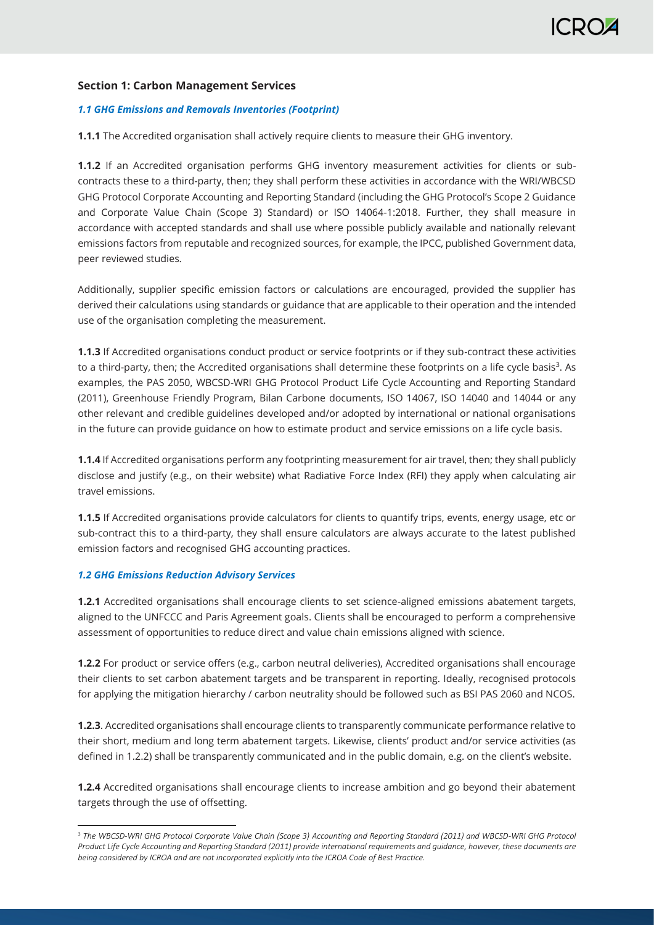# **Section 1: Carbon Management Services**

### *1.1 GHG Emissions and Removals Inventories (Footprint)*

**1.1.1** The Accredited organisation shall actively require clients to measure their GHG inventory.

**1.1.2** If an Accredited organisation performs GHG inventory measurement activities for clients or subcontracts these to a third-party, then; they shall perform these activities in accordance with the WRI/WBCSD GHG Protocol Corporate Accounting and Reporting Standard (including the GHG Protocol's Scope 2 Guidance and Corporate Value Chain (Scope 3) Standard) or ISO 14064-1:2018. Further, they shall measure in accordance with accepted standards and shall use where possible publicly available and nationally relevant emissions factors from reputable and recognized sources, for example, the IPCC, published Government data, peer reviewed studies.

Additionally, supplier specific emission factors or calculations are encouraged, provided the supplier has derived their calculations using standards or guidance that are applicable to their operation and the intended use of the organisation completing the measurement.

**1.1.3** If Accredited organisations conduct product or service footprints or if they sub-contract these activities to a third-party, then; the Accredited organisations shall determine these footprints on a life cycle basis $^3$ . As examples, the PAS 2050, WBCSD-WRI GHG Protocol Product Life Cycle Accounting and Reporting Standard (2011), Greenhouse Friendly Program, Bilan Carbone documents, ISO 14067, ISO 14040 and 14044 or any other relevant and credible guidelines developed and/or adopted by international or national organisations in the future can provide guidance on how to estimate product and service emissions on a life cycle basis.

**1.1.4** If Accredited organisations perform any footprinting measurement for air travel, then; they shall publicly disclose and justify (e.g., on their website) what Radiative Force Index (RFI) they apply when calculating air travel emissions.

**1.1.5** If Accredited organisations provide calculators for clients to quantify trips, events, energy usage, etc or sub-contract this to a third-party, they shall ensure calculators are always accurate to the latest published emission factors and recognised GHG accounting practices.

### *1.2 GHG Emissions Reduction Advisory Services*

**1.2.1** Accredited organisations shall encourage clients to set science-aligned emissions abatement targets, aligned to the UNFCCC and Paris Agreement goals. Clients shall be encouraged to perform a comprehensive assessment of opportunities to reduce direct and value chain emissions aligned with science.

**1.2.2** For product or service offers (e.g., carbon neutral deliveries), Accredited organisations shall encourage their clients to set carbon abatement targets and be transparent in reporting. Ideally, recognised protocols for applying the mitigation hierarchy / carbon neutrality should be followed such as BSI PAS 2060 and NCOS.

**1.2.3**. Accredited organisations shall encourage clients to transparently communicate performance relative to their short, medium and long term abatement targets. Likewise, clients' product and/or service activities (as defined in 1.2.2) shall be transparently communicated and in the public domain, e.g. on the client's website.

**1.2.4** Accredited organisations shall encourage clients to increase ambition and go beyond their abatement targets through the use of offsetting.

<sup>3</sup> *The WBCSD-WRI GHG Protocol Corporate Value Chain (Scope 3) Accounting and Reporting Standard (2011) and WBCSD-WRI GHG Protocol Product Life Cycle Accounting and Reporting Standard (2011) provide international requirements and guidance, however, these documents are being considered by ICROA and are not incorporated explicitly into the ICROA Code of Best Practice.*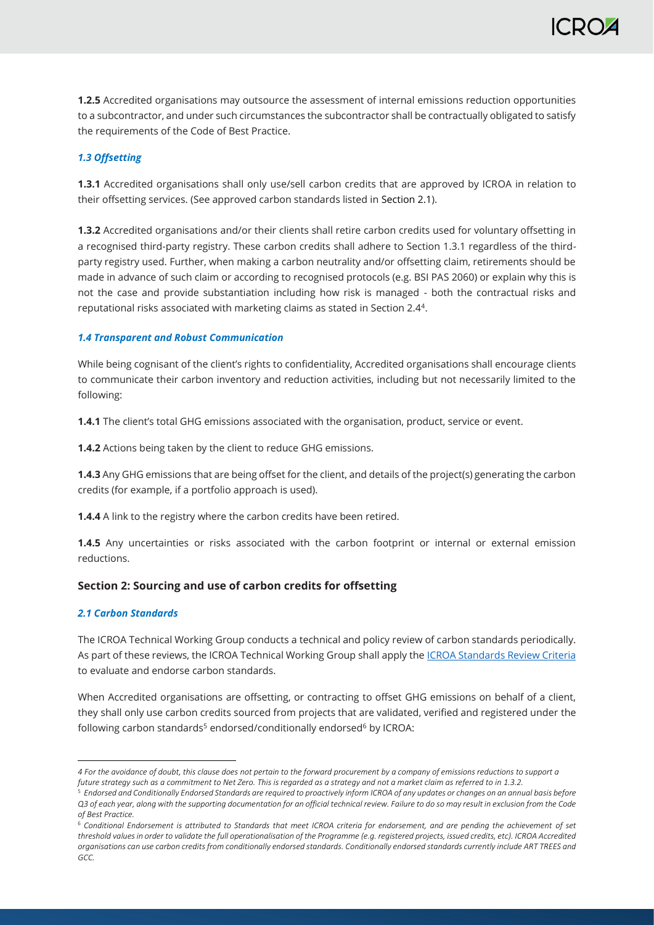**1.2.5** Accredited organisations may outsource the assessment of internal emissions reduction opportunities to a subcontractor, and under such circumstances the subcontractor shall be contractually obligated to satisfy the requirements of the Code of Best Practice.

### *1.3 Offsetting*

**1.3.1** Accredited organisations shall only use/sell carbon credits that are approved by ICROA in relation to their offsetting services. (See approved carbon standards listed in Section 2.1).

**1.3.2** Accredited organisations and/or their clients shall retire carbon credits used for voluntary offsetting in a recognised third-party registry. These carbon credits shall adhere to Section 1.3.1 regardless of the thirdparty registry used. Further, when making a carbon neutrality and/or offsetting claim, retirements should be made in advance of such claim or according to recognised protocols (e.g. BSI PAS 2060) or explain why this is not the case and provide substantiation including how risk is managed - both the contractual risks and reputational risks associated with marketing claims as stated in Section 2.4<sup>4</sup> .

### *1.4 Transparent and Robust Communication*

While being cognisant of the client's rights to confidentiality, Accredited organisations shall encourage clients to communicate their carbon inventory and reduction activities, including but not necessarily limited to the following:

**1.4.1** The client's total GHG emissions associated with the organisation, product, service or event.

**1.4.2** Actions being taken by the client to reduce GHG emissions.

**1.4.3** Any GHG emissions that are being offset for the client, and details of the project(s) generating the carbon credits (for example, if a portfolio approach is used).

**1.4.4** A link to the registry where the carbon credits have been retired.

**1.4.5** Any uncertainties or risks associated with the carbon footprint or internal or external emission reductions.

# **Section 2: Sourcing and use of carbon credits for offsetting**

### *2.1 Carbon Standards*

The ICROA Technical Working Group conducts a technical and policy review of carbon standards periodically. As part of these reviews, the ICROA Technical Working Group shall apply th[e ICROA Standards Review Criteria](https://www.icroa.org/standards) to evaluate and endorse carbon standards.

When Accredited organisations are offsetting, or contracting to offset GHG emissions on behalf of a client, they shall only use carbon credits sourced from projects that are validated, verified and registered under the following carbon standards<sup>5</sup> endorsed/conditionally endorsed<sup>6</sup> by ICROA:

*<sup>4</sup> For the avoidance of doubt, this clause does not pertain to the forward procurement by a company of emissions reductions to support a*  future strategy such as a commitment to Net Zero. This is regarded as a strategy and not a market claim as referred to in 1.3.2.

<sup>5</sup> *Endorsed and Conditionally Endorsed Standards are required to proactively inform ICROA of any updates or changes on an annual basis before Q3 of each year, along with the supporting documentation for an official technical review. Failure to do so may result in exclusion from the Code of Best Practice.*

<sup>6</sup> *Conditional Endorsement is attributed to Standards that meet ICROA criteria for endorsement, and are pending the achievement of set threshold values in order to validate the full operationalisation of the Programme (e.g. registered projects, issued credits, etc). ICROA Accredited organisations can use carbon credits from conditionally endorsed standards. Conditionally endorsed standards currently include ART TREES and GCC.*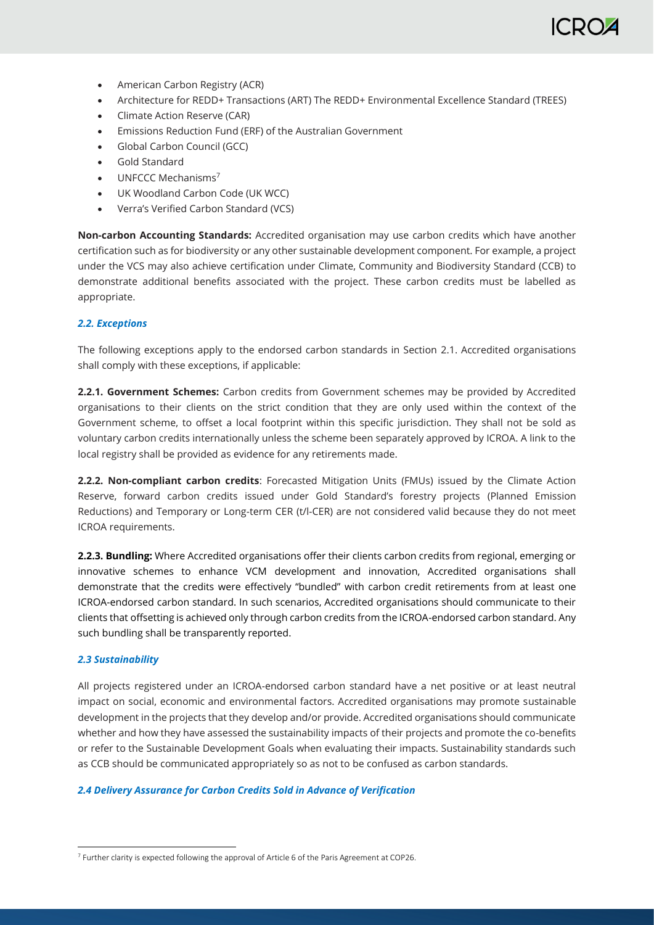- American Carbon Registry (ACR)
- Architecture for REDD+ Transactions (ART) The REDD+ Environmental Excellence Standard (TREES)
- Climate Action Reserve (CAR)
- Emissions Reduction Fund (ERF) of the Australian Government
- Global Carbon Council (GCC)
- Gold Standard
- **UNECCC Mechanisms<sup>7</sup>**
- UK Woodland Carbon Code (UK WCC)
- Verra's Verified Carbon Standard (VCS)

**Non-carbon Accounting Standards:** Accredited organisation may use carbon credits which have another certification such as for biodiversity or any other sustainable development component. For example, a project under the VCS may also achieve certification under Climate, Community and Biodiversity Standard (CCB) to demonstrate additional benefits associated with the project. These carbon credits must be labelled as appropriate.

### *2.2. Exceptions*

The following exceptions apply to the endorsed carbon standards in Section 2.1. Accredited organisations shall comply with these exceptions, if applicable:

**2.2.1. Government Schemes:** Carbon credits from Government schemes may be provided by Accredited organisations to their clients on the strict condition that they are only used within the context of the Government scheme, to offset a local footprint within this specific jurisdiction. They shall not be sold as voluntary carbon credits internationally unless the scheme been separately approved by ICROA. A link to the local registry shall be provided as evidence for any retirements made.

**2.2.2. Non-compliant carbon credits**: Forecasted Mitigation Units (FMUs) issued by the Climate Action Reserve, forward carbon credits issued under Gold Standard's forestry projects (Planned Emission Reductions) and Temporary or Long-term CER (t/l-CER) are not considered valid because they do not meet ICROA requirements.

**2.2.3. Bundling:** Where Accredited organisations offer their clients carbon credits from regional, emerging or innovative schemes to enhance VCM development and innovation, Accredited organisations shall demonstrate that the credits were effectively "bundled" with carbon credit retirements from at least one ICROA-endorsed carbon standard. In such scenarios, Accredited organisations should communicate to their clients that offsetting is achieved only through carbon credits from the ICROA-endorsed carbon standard. Any such bundling shall be transparently reported.

### *2.3 Sustainability*

All projects registered under an ICROA-endorsed carbon standard have a net positive or at least neutral impact on social, economic and environmental factors. Accredited organisations may promote sustainable development in the projects that they develop and/or provide. Accredited organisations should communicate whether and how they have assessed the sustainability impacts of their projects and promote the co-benefits or refer to the Sustainable Development Goals when evaluating their impacts. Sustainability standards such as CCB should be communicated appropriately so as not to be confused as carbon standards.

### *2.4 Delivery Assurance for Carbon Credits Sold in Advance of Verification*

<sup>7</sup> Further clarity is expected following the approval of Article 6 of the Paris Agreement at COP26.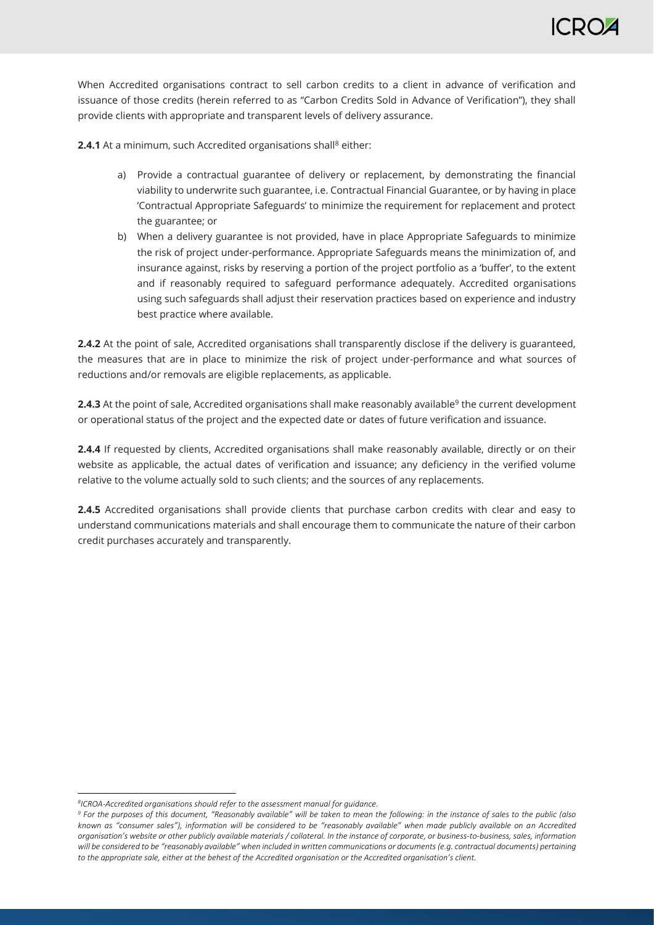When Accredited organisations contract to sell carbon credits to a client in advance of verification and issuance of those credits (herein referred to as "Carbon Credits Sold in Advance of Verification"), they shall provide clients with appropriate and transparent levels of delivery assurance.

**2.4.1** At a minimum, such Accredited organisations shall<sup>8</sup> either:

- a) Provide a contractual guarantee of delivery or replacement, by demonstrating the financial viability to underwrite such guarantee, i.e. Contractual Financial Guarantee, or by having in place 'Contractual Appropriate Safeguards' to minimize the requirement for replacement and protect the guarantee; or
- b) When a delivery guarantee is not provided, have in place Appropriate Safeguards to minimize the risk of project under-performance. Appropriate Safeguards means the minimization of, and insurance against, risks by reserving a portion of the project portfolio as a 'buffer', to the extent and if reasonably required to safeguard performance adequately. Accredited organisations using such safeguards shall adjust their reservation practices based on experience and industry best practice where available.

**2.4.2** At the point of sale, Accredited organisations shall transparently disclose if the delivery is guaranteed, the measures that are in place to minimize the risk of project under-performance and what sources of reductions and/or removals are eligible replacements, as applicable.

**2.4.3** At the point of sale, Accredited organisations shall make reasonably available $9$  the current development or operational status of the project and the expected date or dates of future verification and issuance.

**2.4.4** If requested by clients, Accredited organisations shall make reasonably available, directly or on their website as applicable, the actual dates of verification and issuance; any deficiency in the verified volume relative to the volume actually sold to such clients; and the sources of any replacements.

**2.4.5** Accredited organisations shall provide clients that purchase carbon credits with clear and easy to understand communications materials and shall encourage them to communicate the nature of their carbon credit purchases accurately and transparently.

*<sup>8</sup> ICROA-Accredited organisations should refer to the assessment manual for guidance.*

*<sup>9</sup> For the purposes of this document, "Reasonably available" will be taken to mean the following: in the instance of sales to the public (also known as "consumer sales"), information will be considered to be "reasonably available" when made publicly available on an Accredited organisation's website or other publicly available materials / collateral. In the instance of corporate, or business-to-business, sales, information will be considered to be "reasonably available" when included in written communications or documents (e.g. contractual documents) pertaining to the appropriate sale, either at the behest of the Accredited organisation or the Accredited organisation's client.*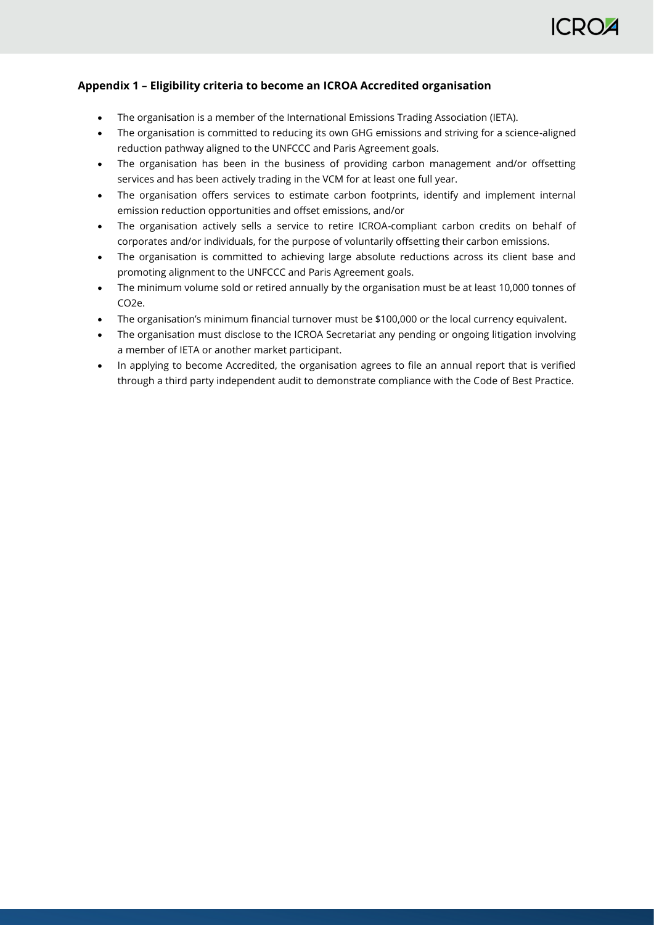# **ICRO**

# <span id="page-6-0"></span>**Appendix 1 – Eligibility criteria to become an ICROA Accredited organisation**

- The organisation is a member of the International Emissions Trading Association (IETA).
- The organisation is committed to reducing its own GHG emissions and striving for a science-aligned reduction pathway aligned to the UNFCCC and Paris Agreement goals.
- The organisation has been in the business of providing carbon management and/or offsetting services and has been actively trading in the VCM for at least one full year.
- The organisation offers services to estimate carbon footprints, identify and implement internal emission reduction opportunities and offset emissions, and/or
- The organisation actively sells a service to retire ICROA-compliant carbon credits on behalf of corporates and/or individuals, for the purpose of voluntarily offsetting their carbon emissions.
- The organisation is committed to achieving large absolute reductions across its client base and promoting alignment to the UNFCCC and Paris Agreement goals.
- The minimum volume sold or retired annually by the organisation must be at least 10,000 tonnes of CO2e.
- The organisation's minimum financial turnover must be \$100,000 or the local currency equivalent.
- The organisation must disclose to the ICROA Secretariat any pending or ongoing litigation involving a member of IETA or another market participant.
- In applying to become Accredited, the organisation agrees to file an annual report that is verified through a third party independent audit to demonstrate compliance with the Code of Best Practice.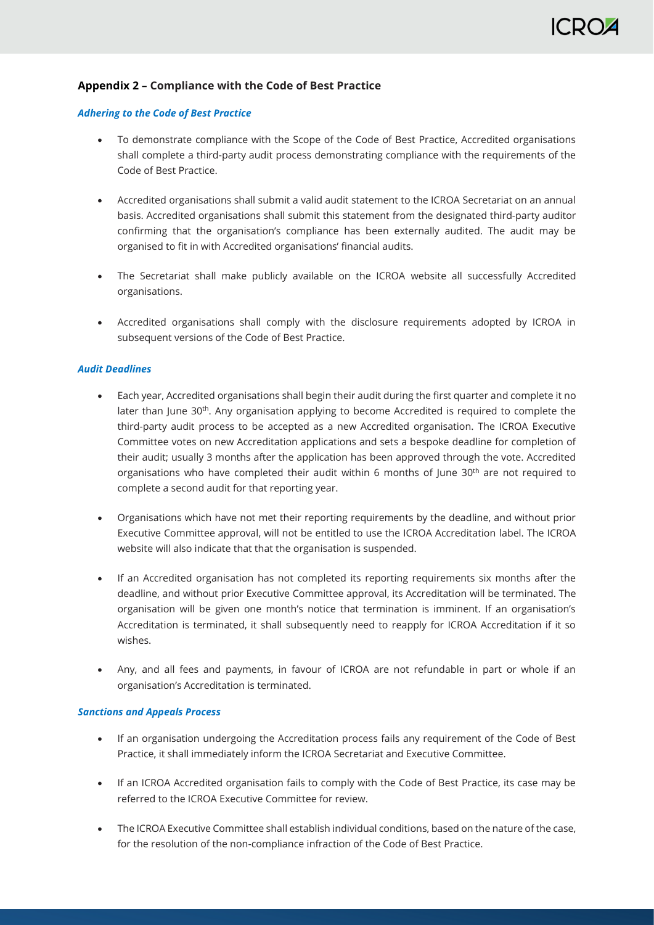# <span id="page-7-0"></span>**Appendix 2 – Compliance with the Code of Best Practice**

### *Adhering to the Code of Best Practice*

- To demonstrate compliance with the Scope of the Code of Best Practice, Accredited organisations shall complete a third-party audit process demonstrating compliance with the requirements of the Code of Best Practice.
- Accredited organisations shall submit a valid audit statement to the ICROA Secretariat on an annual basis. Accredited organisations shall submit this statement from the designated third-party auditor confirming that the organisation's compliance has been externally audited. The audit may be organised to fit in with Accredited organisations' financial audits.
- The Secretariat shall make publicly available on the ICROA website all successfully Accredited organisations.
- Accredited organisations shall comply with the disclosure requirements adopted by ICROA in subsequent versions of the Code of Best Practice.

### *Audit Deadlines*

- Each year, Accredited organisations shall begin their audit during the first quarter and complete it no later than June 30<sup>th</sup>. Any organisation applying to become Accredited is required to complete the third-party audit process to be accepted as a new Accredited organisation. The ICROA Executive Committee votes on new Accreditation applications and sets a bespoke deadline for completion of their audit; usually 3 months after the application has been approved through the vote. Accredited organisations who have completed their audit within 6 months of June  $30<sup>th</sup>$  are not required to complete a second audit for that reporting year.
- Organisations which have not met their reporting requirements by the deadline, and without prior Executive Committee approval, will not be entitled to use the ICROA Accreditation label. The ICROA website will also indicate that that the organisation is suspended.
- If an Accredited organisation has not completed its reporting requirements six months after the deadline, and without prior Executive Committee approval, its Accreditation will be terminated. The organisation will be given one month's notice that termination is imminent. If an organisation's Accreditation is terminated, it shall subsequently need to reapply for ICROA Accreditation if it so wishes.
- Any, and all fees and payments, in favour of ICROA are not refundable in part or whole if an organisation's Accreditation is terminated.

### *Sanctions and Appeals Process*

- If an organisation undergoing the Accreditation process fails any requirement of the Code of Best Practice, it shall immediately inform the ICROA Secretariat and Executive Committee.
- If an ICROA Accredited organisation fails to comply with the Code of Best Practice, its case may be referred to the ICROA Executive Committee for review.
- The ICROA Executive Committee shall establish individual conditions, based on the nature of the case, for the resolution of the non-compliance infraction of the Code of Best Practice.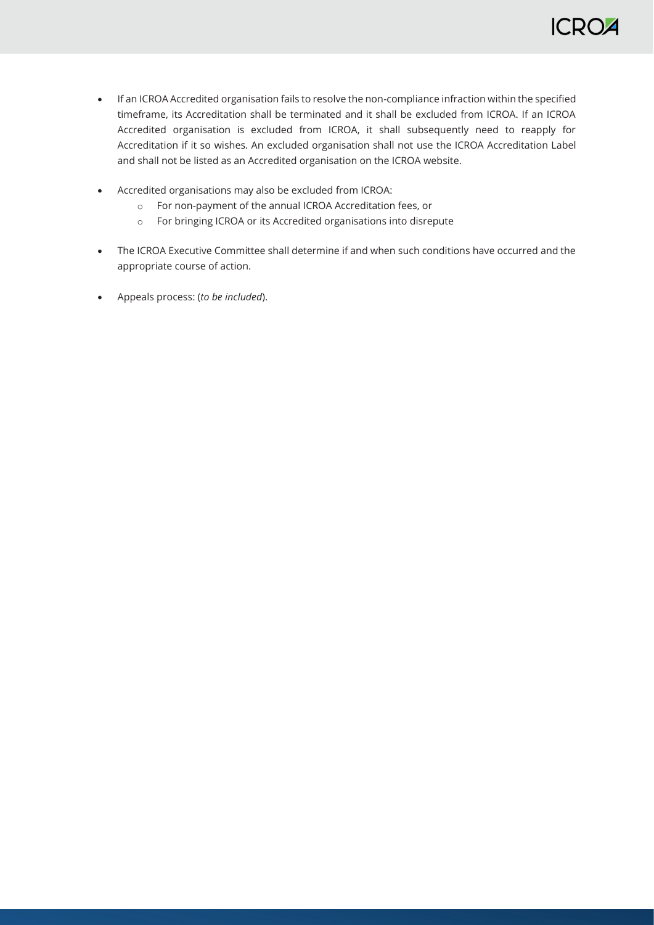

- If an ICROA Accredited organisation fails to resolve the non-compliance infraction within the specified timeframe, its Accreditation shall be terminated and it shall be excluded from ICROA. If an ICROA Accredited organisation is excluded from ICROA, it shall subsequently need to reapply for Accreditation if it so wishes. An excluded organisation shall not use the ICROA Accreditation Label and shall not be listed as an Accredited organisation on the ICROA website.
- Accredited organisations may also be excluded from ICROA:
	- o For non-payment of the annual ICROA Accreditation fees, or
	- o For bringing ICROA or its Accredited organisations into disrepute
- The ICROA Executive Committee shall determine if and when such conditions have occurred and the appropriate course of action.
- Appeals process: (*to be included*).